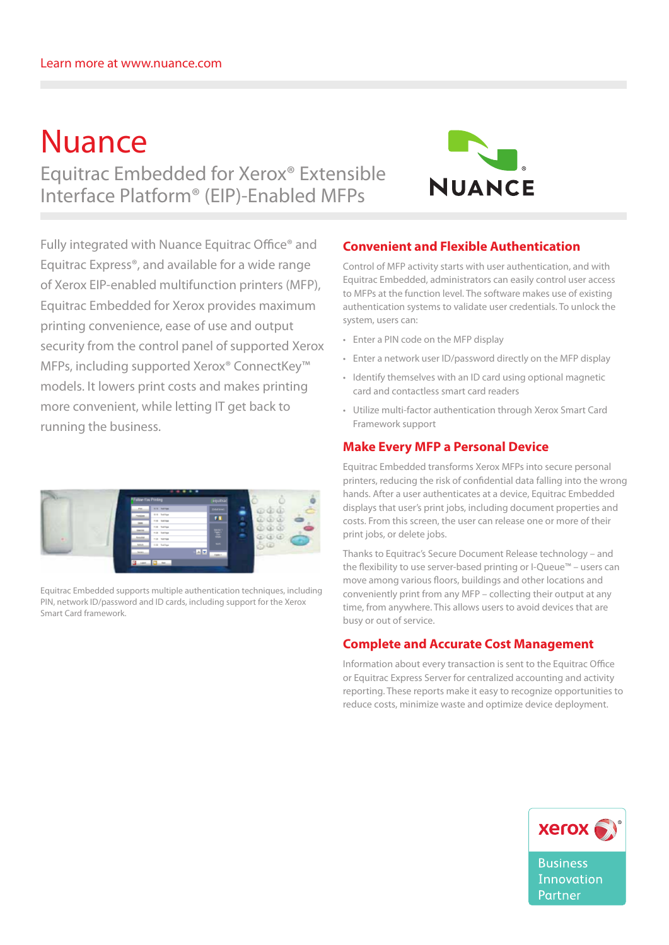# Nuance Equitrac Embedded for Xerox® Extensible Interface Platform® (EIP)-Enabled MFPs



Fully integrated with Nuance Equitrac Office® and Equitrac Express®, and available for a wide range of Xerox EIP-enabled multifunction printers (MFP), Equitrac Embedded for Xerox provides maximum printing convenience, ease of use and output security from the control panel of supported Xerox MFPs, including supported Xerox® ConnectKey™ models. It lowers print costs and makes printing more convenient, while letting IT get back to running the business.



Equitrac Embedded supports multiple authentication techniques, including PIN, network ID/password and ID cards, including support for the Xerox Smart Card framework.

## **Convenient and Flexible Authentication**

Control of MFP activity starts with user authentication, and with Equitrac Embedded, administrators can easily control user access to MFPs at the function level. The software makes use of existing authentication systems to validate user credentials. To unlock the system, users can:

- • Enter a PIN code on the MFP display
- • Enter a network user ID/password directly on the MFP display
- Identify themselves with an ID card using optional magnetic card and contactless smart card readers
- • Utilize multi-factor authentication through Xerox Smart Card Framework support

#### **Make Every MFP a Personal Device**

Equitrac Embedded transforms Xerox MFPs into secure personal printers, reducing the risk of confidential data falling into the wrong hands. After a user authenticates at a device, Equitrac Embedded displays that user's print jobs, including document properties and costs. From this screen, the user can release one or more of their print jobs, or delete jobs.

Thanks to Equitrac's Secure Document Release technology – and the flexibility to use server-based printing or I-Queue™ – users can move among various floors, buildings and other locations and conveniently print from any MFP – collecting their output at any time, from anywhere. This allows users to avoid devices that are busy or out of service.

#### **Complete and Accurate Cost Management**

Information about every transaction is sent to the Equitrac Office or Equitrac Express Server for centralized accounting and activity reporting. These reports make it easy to recognize opportunities to reduce costs, minimize waste and optimize device deployment.



**Business** Innovation Partner